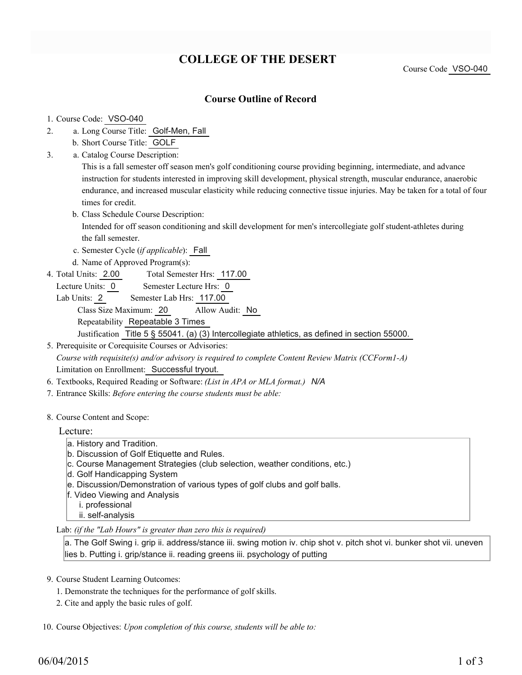# **COLLEGE OF THE DESERT**

Course Code VSO-040

# **Course Outline of Record**

#### 1. Course Code: VSO-040

- a. Long Course Title: Golf-Men, Fall 2.
	- b. Short Course Title: GOLF
- Catalog Course Description: a. 3.

This is a fall semester off season men's golf conditioning course providing beginning, intermediate, and advance instruction for students interested in improving skill development, physical strength, muscular endurance, anaerobic endurance, and increased muscular elasticity while reducing connective tissue injuries. May be taken for a total of four times for credit.

b. Class Schedule Course Description:

Intended for off season conditioning and skill development for men's intercollegiate golf student-athletes during the fall semester.

- c. Semester Cycle (*if applicable*): Fall
- d. Name of Approved Program(s):
- Total Semester Hrs: 117.00 4. Total Units: 2.00
	- Lecture Units: 0 Semester Lecture Hrs: 0
	- Lab Units: 2 Semester Lab Hrs: 117.00 Class Size Maximum: 20 Allow Audit: No Repeatability Repeatable 3 Times Justification Title 5 § 55041. (a) (3) Intercollegiate athletics, as defined in section 55000.

5. Prerequisite or Corequisite Courses or Advisories: *Course with requisite(s) and/or advisory is required to complete Content Review Matrix (CCForm1-A)* Limitation on Enrollment: Successful tryout.

- 6. Textbooks, Required Reading or Software: *(List in APA or MLA format.) N/A*
- 7. Entrance Skills: *Before entering the course students must be able:*
- 8. Course Content and Scope:

#### Lecture:

- a. History and Tradition.
- b. Discussion of Golf Etiquette and Rules.
- c. Course Management Strategies (club selection, weather conditions, etc.)
- d. Golf Handicapping System
- e. Discussion/Demonstration of various types of golf clubs and golf balls.
- f. Video Viewing and Analysis
	- i. professional
	- ii. self-analysis
- Lab: *(if the "Lab Hours" is greater than zero this is required)*

a. The Golf Swing i. grip ii. address/stance iii. swing motion iv. chip shot v. pitch shot vi. bunker shot vii. uneven lies b. Putting i. grip/stance ii. reading greens iii. psychology of putting

- 9. Course Student Learning Outcomes:
	- 1. Demonstrate the techniques for the performance of golf skills.
	- 2. Cite and apply the basic rules of golf.

10. Course Objectives: Upon completion of this course, students will be able to: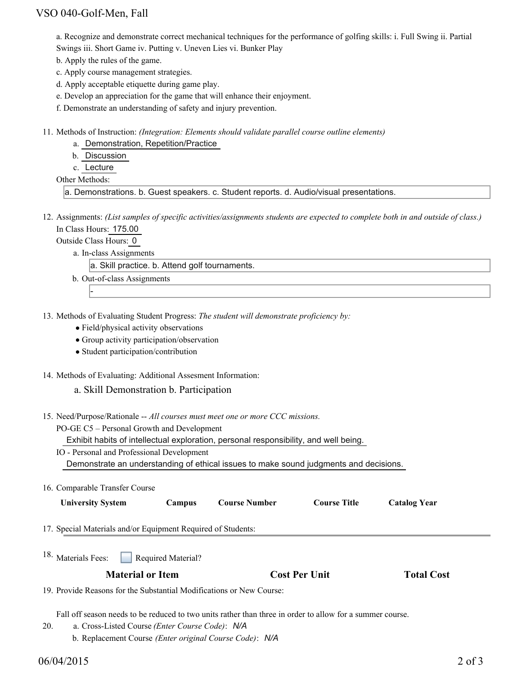# VSO 040-Golf-Men, Fall

a. Recognize and demonstrate correct mechanical techniques for the performance of golfing skills: i. Full Swing ii. Partial Swings iii. Short Game iv. Putting v. Uneven Lies vi. Bunker Play

b. Apply the rules of the game.

c. Apply course management strategies.

d. Apply acceptable etiquette during game play.

e. Develop an appreciation for the game that will enhance their enjoyment.

f. Demonstrate an understanding of safety and injury prevention.

- Methods of Instruction: *(Integration: Elements should validate parallel course outline elements)* 11.
	- a. Demonstration, Repetition/Practice

b. Discussion

c. Lecture

Other Methods:

a. Demonstrations. b. Guest speakers. c. Student reports. d. Audio/visual presentations.

12. Assignments: (List samples of specific activities/assignments students are expected to complete both in and outside of class.) In Class Hours: 175.00

Outside Class Hours: 0

-

a. In-class Assignments

a. Skill practice. b. Attend golf tournaments.

- b. Out-of-class Assignments
- 13. Methods of Evaluating Student Progress: The student will demonstrate proficiency by:
	- Field/physical activity observations
	- Group activity participation/observation
	- Student participation/contribution
- 14. Methods of Evaluating: Additional Assesment Information:

#### a. Skill Demonstration b. Participation

- 15. Need/Purpose/Rationale -- All courses must meet one or more CCC missions.
	- PO-GE C5 Personal Growth and Development

Exhibit habits of intellectual exploration, personal responsibility, and well being.

- IO Personal and Professional Development Demonstrate an understanding of ethical issues to make sound judgments and decisions.
- 16. Comparable Transfer Course

| <b>University System</b>                                     | Campus | <b>Course Number</b> | <b>Course Title</b> | <b>Catalog Year</b> |  |
|--------------------------------------------------------------|--------|----------------------|---------------------|---------------------|--|
|                                                              |        |                      |                     |                     |  |
| 17. Special Materials and/or Equipment Required of Students: |        |                      |                     |                     |  |

Required Material? <sup>18.</sup> Materials Fees:

## **Material or Item Cost Per Unit Total Cost**

19. Provide Reasons for the Substantial Modifications or New Course:

Fall off season needs to be reduced to two units rather than three in order to allow for a summer course.

- a. Cross-Listed Course *(Enter Course Code)*: *N/A* 20.
	- b. Replacement Course *(Enter original Course Code)*: *N/A*